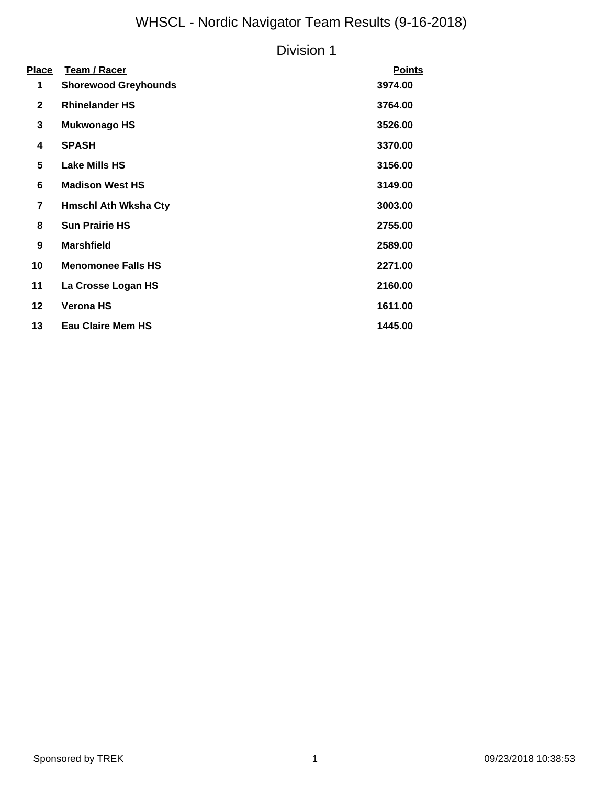## WHSCL - Nordic Navigator Team Results (9-16-2018)

### Division 1

| <u>Place</u>            | <b>Team / Racer</b>         | <b>Points</b> |
|-------------------------|-----------------------------|---------------|
| 1                       | <b>Shorewood Greyhounds</b> | 3974.00       |
| $\mathbf{2}$            | <b>Rhinelander HS</b>       | 3764.00       |
| 3                       | <b>Mukwonago HS</b>         | 3526.00       |
| 4                       | <b>SPASH</b>                | 3370.00       |
| 5                       | Lake Mills HS               | 3156.00       |
| 6                       | <b>Madison West HS</b>      | 3149.00       |
| $\overline{\mathbf{r}}$ | <b>Hmschl Ath Wksha Cty</b> | 3003.00       |
| 8                       | <b>Sun Prairie HS</b>       | 2755.00       |
| 9                       | <b>Marshfield</b>           | 2589.00       |
| 10                      | <b>Menomonee Falls HS</b>   | 2271.00       |
| 11                      | La Crosse Logan HS          | 2160.00       |
| 12                      | <b>Verona HS</b>            | 1611.00       |
| 13                      | <b>Eau Claire Mem HS</b>    | 1445.00       |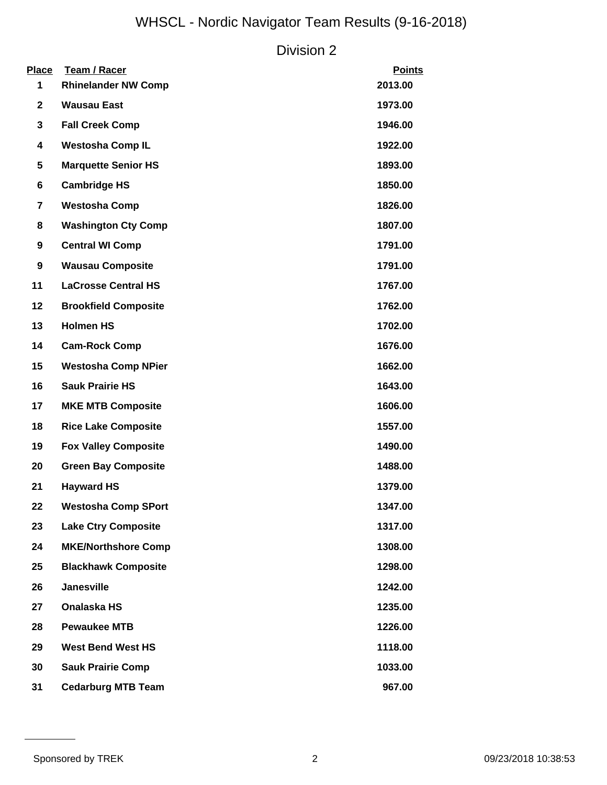# WHSCL - Nordic Navigator Team Results (9-16-2018)

#### Division 2

| <b>Place</b><br>1 | Team / Racer<br><b>Rhinelander NW Comp</b> | <b>Points</b><br>2013.00 |
|-------------------|--------------------------------------------|--------------------------|
| $\mathbf{2}$      | <b>Wausau East</b>                         | 1973.00                  |
| 3                 | <b>Fall Creek Comp</b>                     | 1946.00                  |
| 4                 | <b>Westosha Comp IL</b>                    | 1922.00                  |
| 5                 | <b>Marquette Senior HS</b>                 | 1893.00                  |
| 6                 | <b>Cambridge HS</b>                        | 1850.00                  |
| $\overline{7}$    | <b>Westosha Comp</b>                       | 1826.00                  |
| 8                 | <b>Washington Cty Comp</b>                 | 1807.00                  |
| 9                 | <b>Central WI Comp</b>                     | 1791.00                  |
| 9                 | <b>Wausau Composite</b>                    | 1791.00                  |
| 11                | <b>LaCrosse Central HS</b>                 | 1767.00                  |
| 12                | <b>Brookfield Composite</b>                | 1762.00                  |
| 13                | <b>Holmen HS</b>                           | 1702.00                  |
| 14                | <b>Cam-Rock Comp</b>                       | 1676.00                  |
| 15                | <b>Westosha Comp NPier</b>                 | 1662.00                  |
| 16                | <b>Sauk Prairie HS</b>                     | 1643.00                  |
| 17                | <b>MKE MTB Composite</b>                   | 1606.00                  |
| 18                | <b>Rice Lake Composite</b>                 | 1557.00                  |
| 19                | <b>Fox Valley Composite</b>                | 1490.00                  |
| 20                | <b>Green Bay Composite</b>                 | 1488.00                  |
| 21                | <b>Hayward HS</b>                          | 1379.00                  |
| 22                | <b>Westosha Comp SPort</b>                 | 1347.00                  |
| 23                | <b>Lake Ctry Composite</b>                 | 1317.00                  |
| 24                | <b>MKE/Northshore Comp</b>                 | 1308.00                  |
| 25                | <b>Blackhawk Composite</b>                 | 1298.00                  |
| 26                | <b>Janesville</b>                          | 1242.00                  |
| 27                | Onalaska HS                                | 1235.00                  |
| 28                | <b>Pewaukee MTB</b>                        | 1226.00                  |
| 29                | <b>West Bend West HS</b>                   | 1118.00                  |
| 30                | <b>Sauk Prairie Comp</b>                   | 1033.00                  |
| 31                | <b>Cedarburg MTB Team</b>                  | 967.00                   |